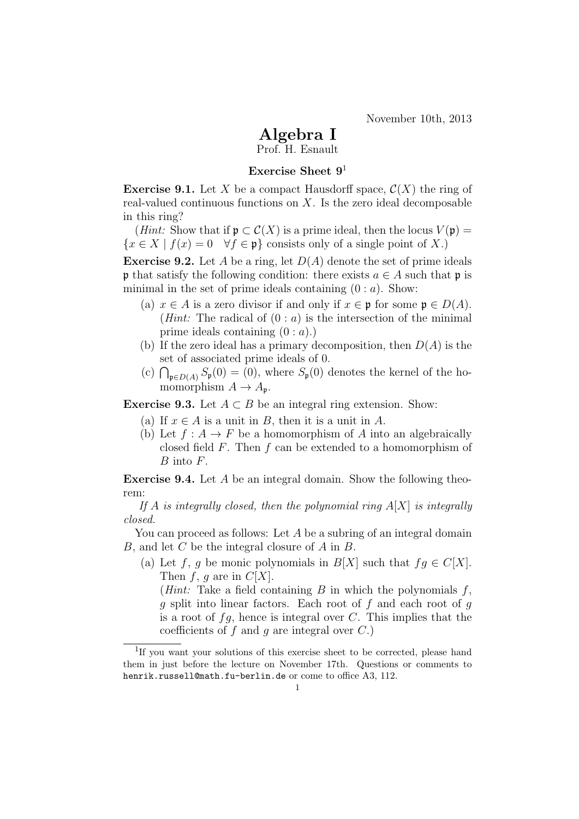November 10th, 2013

## Algebra I

Prof. H. Esnault

## Exercise Sheet  $9<sup>1</sup>$

**Exercise 9.1.** Let X be a compact Hausdorff space,  $\mathcal{C}(X)$  the ring of real-valued continuous functions on  $X$ . Is the zero ideal decomposable in this ring?

(*Hint:* Show that if  $\mathfrak{p} \subset C(X)$  is a prime ideal, then the locus  $V(\mathfrak{p}) =$  ${x \in X \mid f(x) = 0 \quad \forall f \in \mathfrak{p}}$  consists only of a single point of X.

**Exercise 9.2.** Let A be a ring, let  $D(A)$  denote the set of prime ideals **p** that satisfy the following condition: there exists  $a \in A$  such that **p** is minimal in the set of prime ideals containing  $(0 : a)$ . Show:

- (a)  $x \in A$  is a zero divisor if and only if  $x \in \mathfrak{p}$  for some  $\mathfrak{p} \in D(A)$ . (*Hint*: The radical of  $(0 : a)$  is the intersection of the minimal prime ideals containing  $(0 : a)$ .)
- (b) If the zero ideal has a primary decomposition, then  $D(A)$  is the set of associated prime ideals of 0.
- (c)  $\bigcap_{\mathfrak{p}\in D(A)} S_{\mathfrak{p}}(0) = (0)$ , where  $S_{\mathfrak{p}}(0)$  denotes the kernel of the homomorphism  $A \to A_{\mathfrak{p}}$ .

Exercise 9.3. Let  $A \subset B$  be an integral ring extension. Show:

- (a) If  $x \in A$  is a unit in B, then it is a unit in A.
- (b) Let  $f: A \to F$  be a homomorphism of A into an algebraically closed field F. Then f can be extended to a homomorphism of B into F.

Exercise 9.4. Let A be an integral domain. Show the following theorem:

If A is integrally closed, then the polynomial ring  $A[X]$  is integrally closed.

You can proceed as follows: Let A be a subring of an integral domain  $B$ , and let  $C$  be the integral closure of  $A$  in  $B$ .

(a) Let f, g be monic polynomials in  $B[X]$  such that  $fg \in C[X]$ . Then f, g are in  $C[X]$ .

(*Hint*: Take a field containing  $B$  in which the polynomials  $f$ ,  $g$  split into linear factors. Each root of f and each root of  $g$ is a root of  $fg$ , hence is integral over C. This implies that the coefficients of  $f$  and  $g$  are integral over  $C$ .)

<sup>&</sup>lt;sup>1</sup>If you want your solutions of this exercise sheet to be corrected, please hand them in just before the lecture on November 17th. Questions or comments to henrik.russell@math.fu-berlin.de or come to office A3, 112.